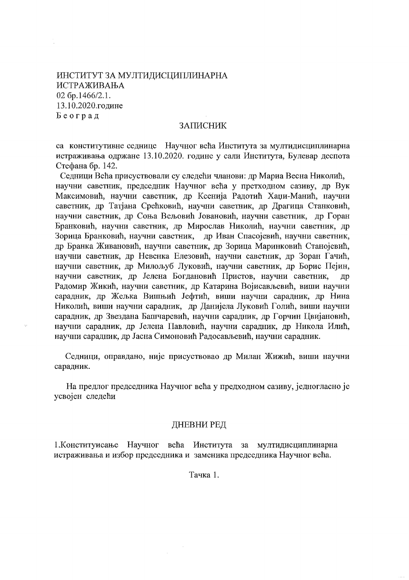## ИНСТИТУТ ЗА МУЛТИДИСЦИПЛИНАРНА ИСТРАЖИВАЊА  $02$  бр.1466/2.1. 13.10.2020.године Београд

÷,

## ЗАПИСНИК

са конститутивне седнице Научног већа Института за мултидисциплинарна истраживања одржане 13.10.2020. године у сали Института, Булевар деспота Стефана бр. 142.

Седници Већа присуствовали су следећи чланови: др Мариа Весна Николић, научни саветник, председник Научног већа у претходном сазиву, др Вук Максимовић, научни саветник, др Ксенија Радотић Хаџи-Манић, научни саветник, др Татјана Срећковић, научни саветник, др Драгица Станковић, научни саветник, др Соња Вељовић Јовановић, научни саветник, др Горан Бранковић, научни саветник, др Мирослав Николић, научни саветник, др Зорица Бранковић, научни саветник, др Иван Спасојевић, научни саветник, др Бранка Живановић, научни саветник, др Зорица Маринковић Станојевић, научни саветник, др Невенка Елезовић, научни саветник, др Зоран Гачић, научни саветник, др Милољуб Луковић, научни саветник, др Борис Пејин, научни саветник, др Јелена Богдановић Пристов, научни саветник, Дp Радомир Жикић, научни саветник, др Катарина Војисављевић, виши научни сарадник, др Жељка Вишњић Јефтић, виши научни сарадник, др Нина Николић, виши научни сарадник, др Данијела Луковић Голић, виши научни сарадник, др Звездана Башчаревић, научни сарадник, др Горчин Цвијановић, научни сарадник, др Јелена Павловић, научни сарадник, др Никола Илић, научни сарадник, др Јасна Симоновић Радосављевић, научни сарадник.

Седници, оправдано, није присуствовао др Милан Жижић, виши научни сарадник.

На предлог председника Научног већа у предходном сазиву, једногласно је усвојен следећи

## ДНЕВНИ РЕД

1. Конституисање Научног већа Института за мултидисциплинарна истраживања и избор председника и заменика председника Научног већа.

 $\sim$ 

Тачка 1.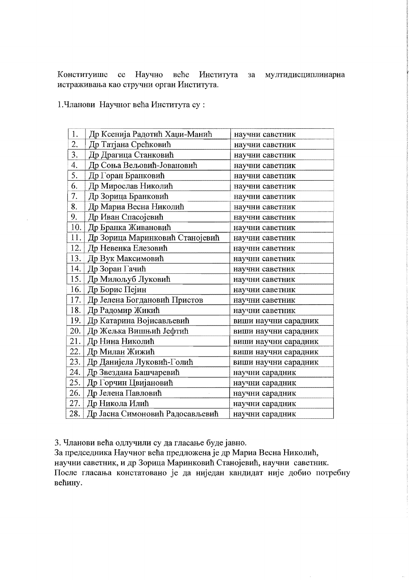Конституише се Научно веће Института за мултидисциплинарна истраживања као стручни орган Института.

1. Чланови Научног већа Института су:

| 1.  | Др Ксенија Радотић Хаџи-Манић   | научни саветник      |
|-----|---------------------------------|----------------------|
| 2.  | Др Татјана Срећковић            | научни саветник      |
| 3.  | Др Драгица Станковић            | научни саветник      |
| 4.  | Др Соња Вељовић-Јовановић       | научни саветник      |
| 5.  | Др Горан Бранковић              | научни саветник      |
| 6.  | Др Мирослав Николић             | научни саветник      |
| 7.  | Др Зорица Бранковић             | научни саветник      |
| 8.  | Др Мариа Весна Николић          | научни саветник      |
| 9.  | Др Иван Спасојевић              | научни саветник      |
| 10. | Др Бранка Живановић             | научни саветник      |
| 11. | Др Зорица Маринковић Станојевић | научни саветник      |
| 12. | Др Невенка Елезовић             | научни саветник      |
| 13. | Др Вук Максимовић               | научни саветник      |
| 14. | Др Зоран Гачић                  | научни саветник      |
| 15. | Др Милољуб Луковић              | научни саветник      |
| 16. | Др Борис Пејин                  | научни саветник      |
| 17. | Др Јелена Богдановић Пристов    | научни саветник      |
| 18. | Др Радомир Жикић                | научни саветник      |
| 19. | Др Катарина Војисављевић        | виши научни сарадник |
| 20. | Др Жељка Вишњић Јефтић          | виши научни сарадник |
| 21. | Др Нина Николић                 | виши научни сарадник |
| 22. | Др Милан Жижић                  | виши научни сарадник |
| 23. | Др Данијела Луковић-Голић       | виши научни сарадник |
| 24. | Др Звездана Башчаревић          | научни сарадник      |
| 25. | Др Горчин Цвијановић            | научни сарадник      |
| 26. | Др Јелена Павловић              | научни сарадник      |
| 27. | Др Никола Илић                  | научни сарадник      |
| 28. | Др Јасна Симоновић Радосављевић | научни сарадник      |

3. Чланови већа одлучили су да гласање буде јавно.

За председника Научног већа предложена је др Мариа Весна Николић, научни саветник, и др Зорица Маринковић Станојевић, научни саветник. После гласања констатовано је да ниједан кандидат није добио потребну већину.